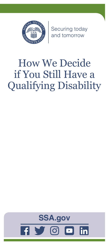

Securing today<br>and tomorrow

# How We Decide if You Still Have a Qualifying Disability

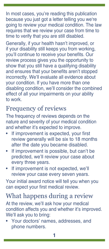In most cases, you're reading this publication because you just got a letter telling you we're going to review your medical condition. The law requires that we review your case from time to time to verify that you are still disabled.

Generally, if your health hasn't improved, or if your disability still keeps you from working, you'll continue to receive your benefits. Our review process gives you the opportunity to show that you still have a qualifying disability and ensures that your benefits aren't stopped incorrectly. We'll evaluate all evidence about your condition. If you have more than one disabling condition, we'll consider the combined effect of all your impairments on your ability to work.

#### Frequency of reviews

The frequency of reviews depends on the nature and severity of your medical condition and whether it's expected to improve.

- If improvement is expected, your first review generally will be six to 18 months after the date you became disabled.
- If improvement is possible, but can't be predicted, we'll review your case about every three years.
- If improvement is not expected, we'll review your case every seven years.

Your initial award notice will tell you when you can expect your first medical review.

## What happens during a review

At the review, we'll ask how your medical condition affects you and whether it's improved. We'll ask you to bring:

• Your doctors' names, addresses, and phone numbers.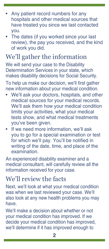- Any patient record numbers for any hospitals and other medical sources that have treated you since we last contacted you.
- The dates (if you worked since your last review), the pay you received, and the kind of work you did.

## We'll gather the information

We will send your case to the Disability Determination Services in your state, which makes disability decisions for Social Security.

To help us make our decision, we'll first gather new information about your medical condition.

- We'll ask your doctors, hospitals, and other medical sources for your medical records. We'll ask them how your medical condition limits your activities, what your medical tests show, and what medical treatments you've been given.
- If we need more information, we'll ask you to go for a special examination or test for which we'll pay. You'll be notified in writing of the date, time, and place of the examination.

An experienced disability examiner and a medical consultant, will carefully review all the information received for your case.

#### We'll review the facts

Next, we'll look at what your medical condition was when we last reviewed your case. We'll also look at any new health problems you may have.

We'll make a decision about whether or not your medical condition has improved. If we decide your medical condition has improved, we'll determine if it has improved enough to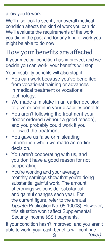allow you to work.

We'll also look to see if your overall medical condition affects the kind of work you can do. We'll evaluate the requirements of the work you did in the past and for any kind of work you might be able to do now.

#### How your benefits are affected

If your medical condition has improved, and we decide you can work, your benefits will stop. Your disability benefits will also stop if:

- You can work because you've benefited from vocational training or advances in medical treatment or vocational technology.
- We made a mistake in an earlier decision to give or continue your disability benefits.
- You aren't following the treatment your doctor ordered (without a good reason), and you probably could work if you followed the treatment.
- You gave us false or misleading information when we made an earlier decision.
- You aren't cooperating with us, and you don't have a good reason for not cooperating
- You're working and your average monthly earnings show that you're doing substantial gainful work. The amount of earnings we consider substantial and gainful changes each year. For the current figure, refer to the annual *Update* [\(Publication No. 05-10003\)](https://www.ssa.gov/pubs/EN-05-10003.pdf). However, this situation won't affect Supplemental Security Income (SSI) payments.

If your condition hasn't improved, and you aren't able to work, your cash benefits will continue.

**3** *(over)*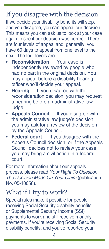## If you disagree with the decision

If we decide your disability benefits will stop, and you disagree, you can appeal our decision. This means you can ask us to look at your case again to see if our decision was correct. There are four levels of appeal and, generally, you have 60 days to appeal from one level to the next. The four levels are:

- **• Reconsideration** Your case is independently reviewed by people who had no part in the original decision. You may appear before a disability hearing officer who'll decide your appeal.
- **• Hearing** If you disagree with the reconsideration decision, you may request a hearing before an administrative law judge.
- **• Appeals Council** If you disagree with the administrative law judge's decision, you may ask for a review of the decision by the Appeals Council.
- **Federal court** If you disagree with the Appeals Council decision, or if the Appeals Council decides not to review your case, you may bring a civil action in a federal court.

For more information about our appeals process, please read *[Your Right To Question](https://www.ssa.gov/pubs/EN-05-10058.pdf)  [The Decision Made On Your Claim](https://www.ssa.gov/pubs/EN-05-10058.pdf)* (publication [No. 05-10058\)](https://www.ssa.gov/pubs/EN-05-10058.pdf).

#### What if I try to work?

Special rules make it possible for people receiving Social Security disability benefits or Supplemental Security Income (SSI) payments to work and still receive monthly payments. If you're receiving Social Security disability benefits, and you've reported your